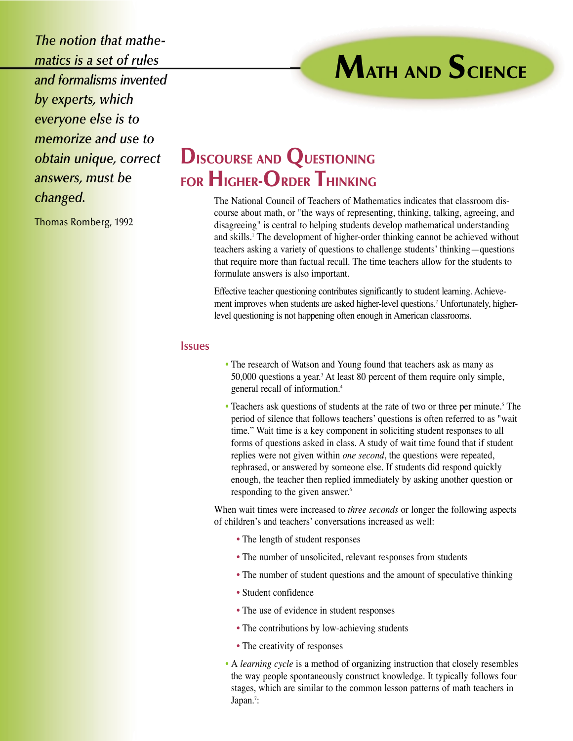*The notion that mathematics is a set of rules and formalisms invented by experts, which everyone else is to memorize and use to obtain unique, correct answers, must be changed.*

Thomas Romberg, 1992

## **DISCOURSE AND QUESTIONING FOR HIGHER-ORDER THINKING**

The National Council of Teachers of Mathematics indicates that classroom discourse about math, or "the ways of representing, thinking, talking, agreeing, and disagreeing" is central to helping students develop mathematical understanding and skills.1 The development of higher-order thinking cannot be achieved without teachers asking a variety of questions to challenge students' thinking—questions that require more than factual recall. The time teachers allow for the students to formulate answers is also important.

**MATH AND SCIENCE**

Effective teacher questioning contributes significantly to student learning. Achievement improves when students are asked higher-level questions.2 Unfortunately, higherlevel questioning is not happening often enough in American classrooms.

## **Issues**

- The research of Watson and Young found that teachers ask as many as 50,000 questions a year.3 At least 80 percent of them require only simple, general recall of information.4
- Teachers ask questions of students at the rate of two or three per minute.<sup>5</sup> The period of silence that follows teachers' questions is often referred to as "wait time." Wait time is a key component in soliciting student responses to all forms of questions asked in class. A study of wait time found that if student replies were not given within *one second*, the questions were repeated, rephrased, or answered by someone else. If students did respond quickly enough, the teacher then replied immediately by asking another question or responding to the given answer.<sup>6</sup>

When wait times were increased to *three seconds* or longer the following aspects of children's and teachers' conversations increased as well:

- The length of student responses
- The number of unsolicited, relevant responses from students
- The number of student questions and the amount of speculative thinking
- Student confidence
- The use of evidence in student responses
- The contributions by low-achieving students
- The creativity of responses
- A *learning cycle* is a method of organizing instruction that closely resembles the way people spontaneously construct knowledge. It typically follows four stages, which are similar to the common lesson patterns of math teachers in Japan.<sup>7</sup>: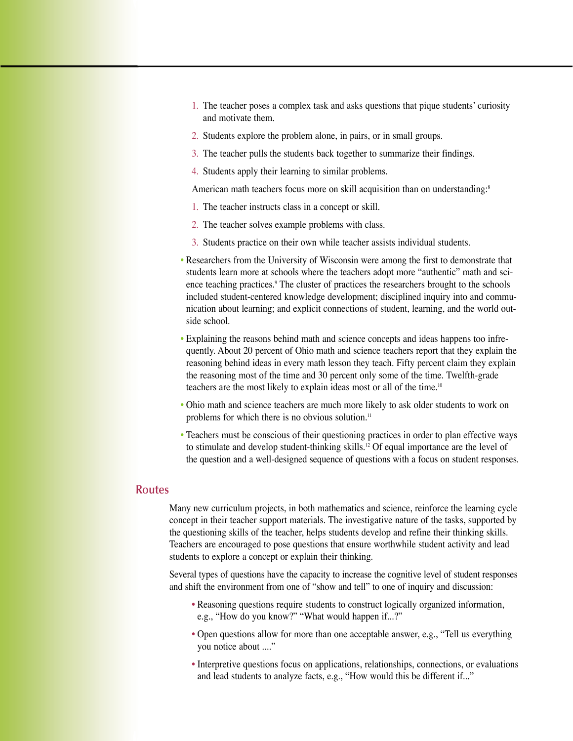- 1. The teacher poses a complex task and asks questions that pique students' curiosity and motivate them.
- 2. Students explore the problem alone, in pairs, or in small groups.
- 3. The teacher pulls the students back together to summarize their findings.
- 4. Students apply their learning to similar problems.

American math teachers focus more on skill acquisition than on understanding:<sup>8</sup>

- 1. The teacher instructs class in a concept or skill.
- 2. The teacher solves example problems with class.
- 3. Students practice on their own while teacher assists individual students.
- Researchers from the University of Wisconsin were among the first to demonstrate that students learn more at schools where the teachers adopt more "authentic" math and science teaching practices.<sup>9</sup> The cluster of practices the researchers brought to the schools included student-centered knowledge development; disciplined inquiry into and communication about learning; and explicit connections of student, learning, and the world outside school.
- Explaining the reasons behind math and science concepts and ideas happens too infrequently. About 20 percent of Ohio math and science teachers report that they explain the reasoning behind ideas in every math lesson they teach. Fifty percent claim they explain the reasoning most of the time and 30 percent only some of the time. Twelfth-grade teachers are the most likely to explain ideas most or all of the time.<sup>10</sup>
- Ohio math and science teachers are much more likely to ask older students to work on problems for which there is no obvious solution.<sup>11</sup>
- Teachers must be conscious of their questioning practices in order to plan effective ways to stimulate and develop student-thinking skills.<sup>12</sup> Of equal importance are the level of the question and a well-designed sequence of questions with a focus on student responses.

## **Routes**

Many new curriculum projects, in both mathematics and science, reinforce the learning cycle concept in their teacher support materials. The investigative nature of the tasks, supported by the questioning skills of the teacher, helps students develop and refine their thinking skills. Teachers are encouraged to pose questions that ensure worthwhile student activity and lead students to explore a concept or explain their thinking.

Several types of questions have the capacity to increase the cognitive level of student responses and shift the environment from one of "show and tell" to one of inquiry and discussion:

- Reasoning questions require students to construct logically organized information, e.g., "How do you know?" "What would happen if...?"
- Open questions allow for more than one acceptable answer, e.g., "Tell us everything you notice about ...."
- Interpretive questions focus on applications, relationships, connections, or evaluations and lead students to analyze facts, e.g., "How would this be different if..."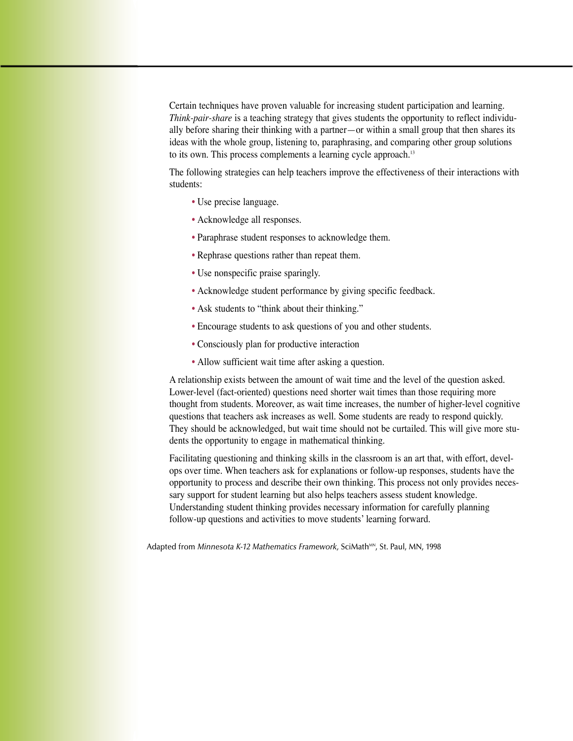Certain techniques have proven valuable for increasing student participation and learning. *Think-pair-share* is a teaching strategy that gives students the opportunity to reflect individually before sharing their thinking with a partner—or within a small group that then shares its ideas with the whole group, listening to, paraphrasing, and comparing other group solutions to its own. This process complements a learning cycle approach.<sup>13</sup>

The following strategies can help teachers improve the effectiveness of their interactions with students:

- Use precise language.
- Acknowledge all responses.
- Paraphrase student responses to acknowledge them.
- Rephrase questions rather than repeat them.
- Use nonspecific praise sparingly.
- Acknowledge student performance by giving specific feedback.
- Ask students to "think about their thinking."
- Encourage students to ask questions of you and other students.
- Consciously plan for productive interaction
- Allow sufficient wait time after asking a question.

A relationship exists between the amount of wait time and the level of the question asked. Lower-level (fact-oriented) questions need shorter wait times than those requiring more thought from students. Moreover, as wait time increases, the number of higher-level cognitive questions that teachers ask increases as well. Some students are ready to respond quickly. They should be acknowledged, but wait time should not be curtailed. This will give more students the opportunity to engage in mathematical thinking.

Facilitating questioning and thinking skills in the classroom is an art that, with effort, develops over time. When teachers ask for explanations or follow-up responses, students have the opportunity to process and describe their own thinking. This process not only provides necessary support for student learning but also helps teachers assess student knowledge. Understanding student thinking provides necessary information for carefully planning follow-up questions and activities to move students' learning forward.

Adapted from *Minnesota K-12 Mathematics Framework*, SciMath<sup>MN</sup>, St. Paul, MN, 1998